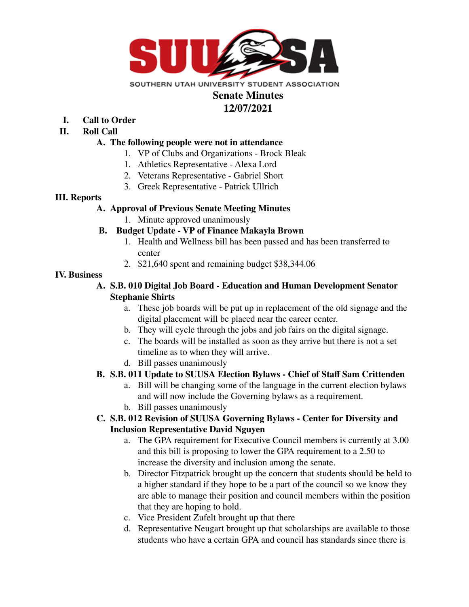

# **Senate Minutes 12/07/2021**

- **I. Call to Order**
- **II. Roll Call**

#### **A. The following people were not in attendance**

- 1. VP of Clubs and Organizations Brock Bleak
- 1. Athletics Representative Alexa Lord
- 2. Veterans Representative Gabriel Short
- 3. Greek Representative Patrick Ullrich

#### **III. Reports**

### **A. Approval of Previous Senate Meeting Minutes**

1. Minute approved unanimously

## **B. Budget Update - VP of Finance Makayla Brown**

- 1. Health and Wellness bill has been passed and has been transferred to center
- 2. \$21,640 spent and remaining budget \$38,344.06

### **IV. Business**

### **A. S.B. 010 Digital Job Board - Education and Human Development Senator Stephanie Shirts**

- a. These job boards will be put up in replacement of the old signage and the digital placement will be placed near the career center.
- b. They will cycle through the jobs and job fairs on the digital signage.
- c. The boards will be installed as soon as they arrive but there is not a set timeline as to when they will arrive.
- d. Bill passes unanimously

## **B. S.B. 011 Update to SUUSA Election Bylaws - Chief of Staff Sam Crittenden**

- a. Bill will be changing some of the language in the current election bylaws and will now include the Governing bylaws as a requirement.
- b. Bill passes unanimously

## **C. S.B. 012 Revision of SUUSA Governing Bylaws - Center for Diversity and Inclusion Representative David Nguyen**

- a. The GPA requirement for Executive Council members is currently at 3.00 and this bill is proposing to lower the GPA requirement to a 2.50 to increase the diversity and inclusion among the senate.
- b. Director Fitzpatrick brought up the concern that students should be held to a higher standard if they hope to be a part of the council so we know they are able to manage their position and council members within the position that they are hoping to hold.
- c. Vice President Zufelt brought up that there
- d. Representative Neugart brought up that scholarships are available to those students who have a certain GPA and council has standards since there is